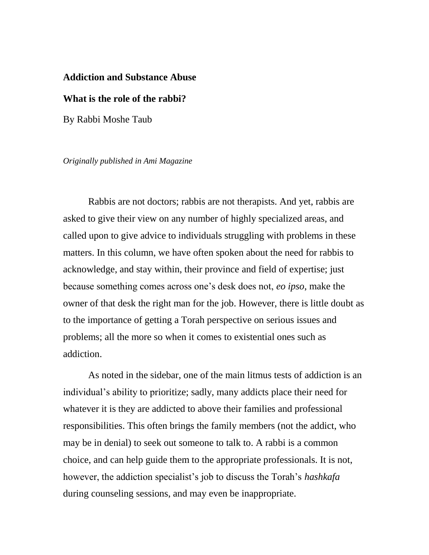## **Addiction and Substance Abuse**

## **What is the role of the rabbi?**

By Rabbi Moshe Taub

*Originally published in Ami Magazine*

Rabbis are not doctors; rabbis are not therapists. And yet, rabbis are asked to give their view on any number of highly specialized areas, and called upon to give advice to individuals struggling with problems in these matters. In this column, we have often spoken about the need for rabbis to acknowledge, and stay within, their province and field of expertise; just because something comes across one's desk does not, *eo ipso*, make the owner of that desk the right man for the job. However, there is little doubt as to the importance of getting a Torah perspective on serious issues and problems; all the more so when it comes to existential ones such as addiction.

As noted in the sidebar, one of the main litmus tests of addiction is an individual's ability to prioritize; sadly, many addicts place their need for whatever it is they are addicted to above their families and professional responsibilities. This often brings the family members (not the addict, who may be in denial) to seek out someone to talk to. A rabbi is a common choice, and can help guide them to the appropriate professionals. It is not, however, the addiction specialist's job to discuss the Torah's *hashkafa* during counseling sessions, and may even be inappropriate.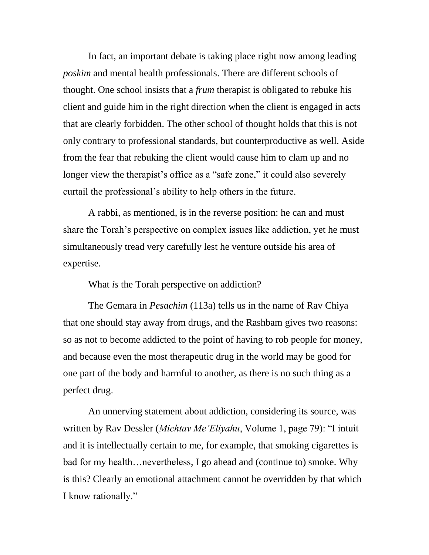In fact, an important debate is taking place right now among leading *poskim* and mental health professionals. There are different schools of thought. One school insists that a *frum* therapist is obligated to rebuke his client and guide him in the right direction when the client is engaged in acts that are clearly forbidden. The other school of thought holds that this is not only contrary to professional standards, but counterproductive as well. Aside from the fear that rebuking the client would cause him to clam up and no longer view the therapist's office as a "safe zone," it could also severely curtail the professional's ability to help others in the future.

A rabbi, as mentioned, is in the reverse position: he can and must share the Torah's perspective on complex issues like addiction, yet he must simultaneously tread very carefully lest he venture outside his area of expertise.

What *is* the Torah perspective on addiction?

The Gemara in *Pesachim* (113a) tells us in the name of Rav Chiya that one should stay away from drugs, and the Rashbam gives two reasons: so as not to become addicted to the point of having to rob people for money, and because even the most therapeutic drug in the world may be good for one part of the body and harmful to another, as there is no such thing as a perfect drug.

An unnerving statement about addiction, considering its source, was written by Rav Dessler (*Michtav Me'Eliyahu*, Volume 1, page 79): "I intuit and it is intellectually certain to me, for example, that smoking cigarettes is bad for my health…nevertheless, I go ahead and (continue to) smoke. Why is this? Clearly an emotional attachment cannot be overridden by that which I know rationally."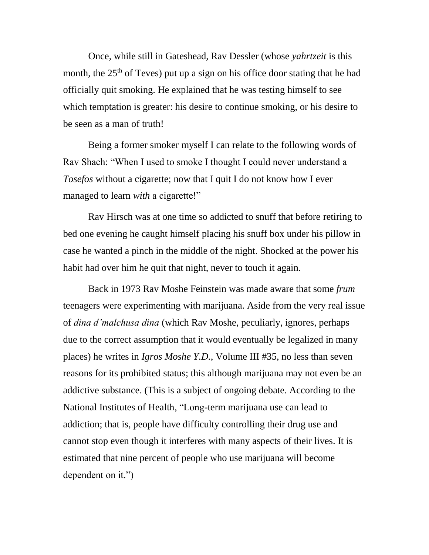Once, while still in Gateshead, Rav Dessler (whose *yahrtzeit* is this month, the  $25<sup>th</sup>$  of Teves) put up a sign on his office door stating that he had officially quit smoking. He explained that he was testing himself to see which temptation is greater: his desire to continue smoking, or his desire to be seen as a man of truth!

Being a former smoker myself I can relate to the following words of Rav Shach: "When I used to smoke I thought I could never understand a *Tosefos* without a cigarette; now that I quit I do not know how I ever managed to learn *with* a cigarette!"

Rav Hirsch was at one time so addicted to snuff that before retiring to bed one evening he caught himself placing his snuff box under his pillow in case he wanted a pinch in the middle of the night. Shocked at the power his habit had over him he quit that night, never to touch it again.

Back in 1973 Rav Moshe Feinstein was made aware that some *frum*  teenagers were experimenting with marijuana. Aside from the very real issue of *dina d'malchusa dina* (which Rav Moshe, peculiarly, ignores, perhaps due to the correct assumption that it would eventually be legalized in many places) he writes in *Igros Moshe Y.D.*, Volume III #35, no less than seven reasons for its prohibited status; this although marijuana may not even be an addictive substance. (This is a subject of ongoing debate. According to the National Institutes of Health, "Long-term marijuana use can lead to addiction; that is, people have difficulty controlling their drug use and cannot stop even though it interferes with many aspects of their lives. It is estimated that nine percent of people who use marijuana will become dependent on it.")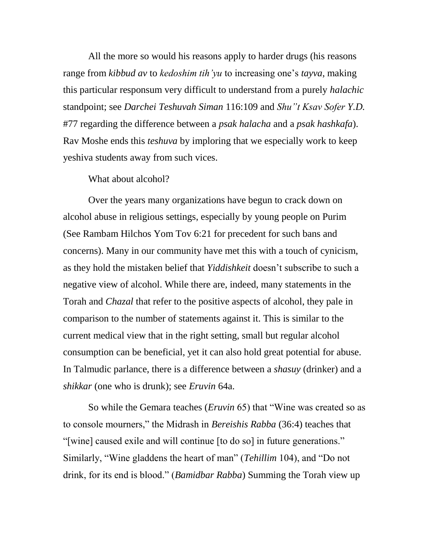All the more so would his reasons apply to harder drugs (his reasons range from *kibbud av* to *kedoshim tih'yu* to increasing one's *tayva*, making this particular responsum very difficult to understand from a purely *halachic* standpoint; see *Darchei Teshuvah Siman* 116:109 and *Shu"t Ksav Sofer Y.D.* #77 regarding the difference between a *psak halacha* and a *psak hashkafa*). Rav Moshe ends this *teshuva* by imploring that we especially work to keep yeshiva students away from such vices.

What about alcohol?

Over the years many organizations have begun to crack down on alcohol abuse in religious settings, especially by young people on Purim (See Rambam Hilchos Yom Tov 6:21 for precedent for such bans and concerns). Many in our community have met this with a touch of cynicism, as they hold the mistaken belief that *Yiddishkeit* doesn't subscribe to such a negative view of alcohol. While there are, indeed, many statements in the Torah and *Chazal* that refer to the positive aspects of alcohol, they pale in comparison to the number of statements against it. This is similar to the current medical view that in the right setting, small but regular alcohol consumption can be beneficial, yet it can also hold great potential for abuse. In Talmudic parlance, there is a difference between a *shasuy* (drinker) and a *shikkar* (one who is drunk); see *Eruvin* 64a.

So while the Gemara teaches (*Eruvin* 65) that "Wine was created so as to console mourners," the Midrash in *Bereishis Rabba* (36:4) teaches that "[wine] caused exile and will continue [to do so] in future generations." Similarly, "Wine gladdens the heart of man" (*Tehillim* 104), and "Do not drink, for its end is blood." (*Bamidbar Rabba*) Summing the Torah view up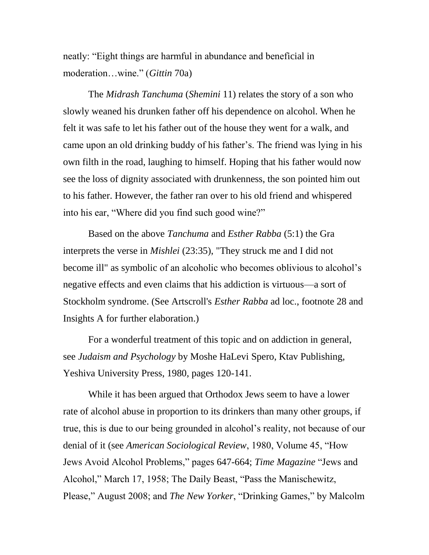neatly: "Eight things are harmful in abundance and beneficial in moderation…wine." (*Gittin* 70a)

The *Midrash Tanchuma* (*Shemini* 11) relates the story of a son who slowly weaned his drunken father off his dependence on alcohol. When he felt it was safe to let his father out of the house they went for a walk, and came upon an old drinking buddy of his father's. The friend was lying in his own filth in the road, laughing to himself. Hoping that his father would now see the loss of dignity associated with drunkenness, the son pointed him out to his father. However, the father ran over to his old friend and whispered into his ear, "Where did you find such good wine?"

Based on the above *Tanchuma* and *Esther Rabba* (5:1) the Gra interprets the verse in *Mishlei* (23:35), "They struck me and I did not become ill" as symbolic of an alcoholic who becomes oblivious to alcohol's negative effects and even claims that his addiction is virtuous—a sort of Stockholm syndrome. (See Artscroll's *Esther Rabba* ad loc., footnote 28 and Insights A for further elaboration.)

For a wonderful treatment of this topic and on addiction in general, see *Judaism and Psychology* by Moshe HaLevi Spero, Ktav Publishing, Yeshiva University Press, 1980, pages 120-141.

While it has been argued that Orthodox Jews seem to have a lower rate of alcohol abuse in proportion to its drinkers than many other groups, if true, this is due to our being grounded in alcohol's reality, not because of our denial of it (see *American Sociological Review*, 1980, Volume 45, "How Jews Avoid Alcohol Problems," pages 647-664; *Time Magazine* "Jews and Alcohol," March 17, 1958; The Daily Beast, "Pass the Manischewitz, Please," August 2008; and *The New Yorker*, "Drinking Games," by Malcolm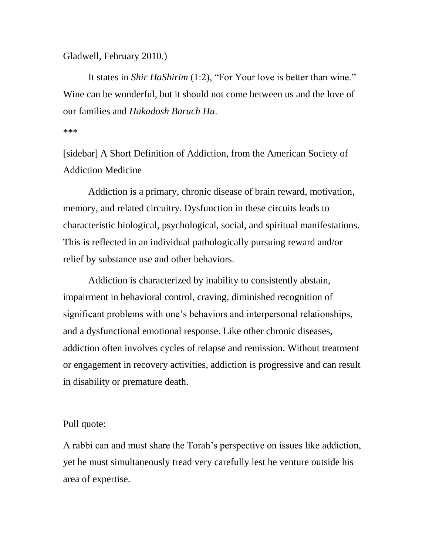Gladwell, February 2010.)

It states in *Shir HaShirim* (1:2), "For Your love is better than wine." Wine can be wonderful, but it should not come between us and the love of our families and *Hakadosh Baruch Hu*.

\*\*\*

[sidebar] A Short Definition of Addiction, from the American Society of Addiction Medicine

Addiction is a primary, chronic disease of brain reward, motivation, memory, and related circuitry. Dysfunction in these circuits leads to characteristic biological, psychological, social, and spiritual manifestations. This is reflected in an individual pathologically pursuing reward and/or relief by substance use and other behaviors.

Addiction is characterized by inability to consistently abstain, impairment in behavioral control, craving, diminished recognition of significant problems with one's behaviors and interpersonal relationships, and a dysfunctional emotional response. Like other chronic diseases, addiction often involves cycles of relapse and remission. Without treatment or engagement in recovery activities, addiction is progressive and can result in disability or premature death.

## Pull quote:

A rabbi can and must share the Torah's perspective on issues like addiction, yet he must simultaneously tread very carefully lest he venture outside his area of expertise.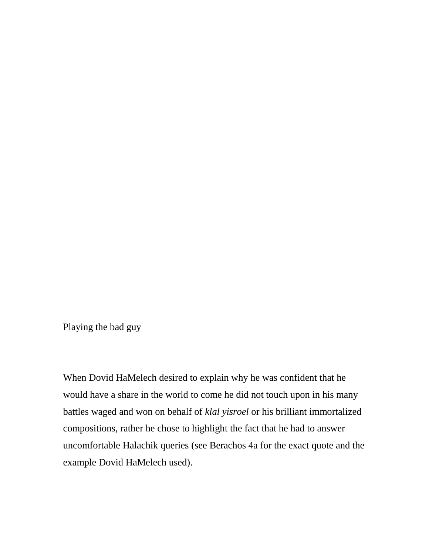Playing the bad guy

When Dovid HaMelech desired to explain why he was confident that he would have a share in the world to come he did not touch upon in his many battles waged and won on behalf of *klal yisroel* or his brilliant immortalized compositions, rather he chose to highlight the fact that he had to answer uncomfortable Halachik queries (see Berachos 4a for the exact quote and the example Dovid HaMelech used).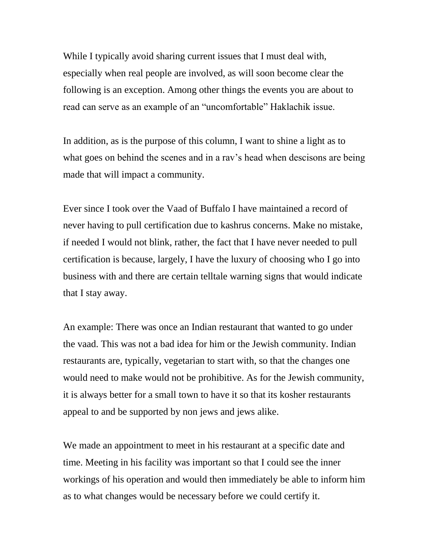While I typically avoid sharing current issues that I must deal with, especially when real people are involved, as will soon become clear the following is an exception. Among other things the events you are about to read can serve as an example of an "uncomfortable" Haklachik issue.

In addition, as is the purpose of this column, I want to shine a light as to what goes on behind the scenes and in a ray's head when descisons are being made that will impact a community.

Ever since I took over the Vaad of Buffalo I have maintained a record of never having to pull certification due to kashrus concerns. Make no mistake, if needed I would not blink, rather, the fact that I have never needed to pull certification is because, largely, I have the luxury of choosing who I go into business with and there are certain telltale warning signs that would indicate that I stay away.

An example: There was once an Indian restaurant that wanted to go under the vaad. This was not a bad idea for him or the Jewish community. Indian restaurants are, typically, vegetarian to start with, so that the changes one would need to make would not be prohibitive. As for the Jewish community, it is always better for a small town to have it so that its kosher restaurants appeal to and be supported by non jews and jews alike.

We made an appointment to meet in his restaurant at a specific date and time. Meeting in his facility was important so that I could see the inner workings of his operation and would then immediately be able to inform him as to what changes would be necessary before we could certify it.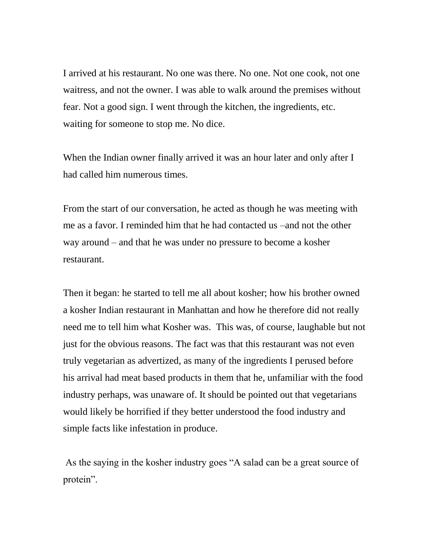I arrived at his restaurant. No one was there. No one. Not one cook, not one waitress, and not the owner. I was able to walk around the premises without fear. Not a good sign. I went through the kitchen, the ingredients, etc. waiting for someone to stop me. No dice.

When the Indian owner finally arrived it was an hour later and only after I had called him numerous times.

From the start of our conversation, he acted as though he was meeting with me as a favor. I reminded him that he had contacted us –and not the other way around – and that he was under no pressure to become a kosher restaurant.

Then it began: he started to tell me all about kosher; how his brother owned a kosher Indian restaurant in Manhattan and how he therefore did not really need me to tell him what Kosher was. This was, of course, laughable but not just for the obvious reasons. The fact was that this restaurant was not even truly vegetarian as advertized, as many of the ingredients I perused before his arrival had meat based products in them that he, unfamiliar with the food industry perhaps, was unaware of. It should be pointed out that vegetarians would likely be horrified if they better understood the food industry and simple facts like infestation in produce.

As the saying in the kosher industry goes "A salad can be a great source of protein".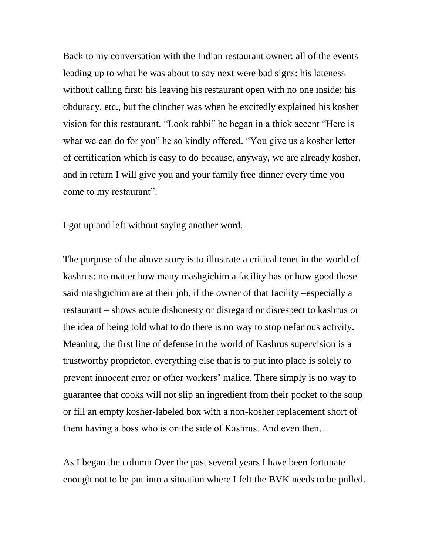Back to my conversation with the Indian restaurant owner: all of the events leading up to what he was about to say next were bad signs: his lateness without calling first; his leaving his restaurant open with no one inside; his obduracy, etc., but the clincher was when he excitedly explained his kosher vision for this restaurant. "Look rabbi" he began in a thick accent "Here is what we can do for you" he so kindly offered. "You give us a kosher letter of certification which is easy to do because, anyway, we are already kosher, and in return I will give you and your family free dinner every time you come to my restaurant".

I got up and left without saying another word.

The purpose of the above story is to illustrate a critical tenet in the world of kashrus: no matter how many mashgichim a facility has or how good those said mashgichim are at their job, if the owner of that facility –especially a restaurant – shows acute dishonesty or disregard or disrespect to kashrus or the idea of being told what to do there is no way to stop nefarious activity. Meaning, the first line of defense in the world of Kashrus supervision is a trustworthy proprietor, everything else that is to put into place is solely to prevent innocent error or other workers' malice. There simply is no way to guarantee that cooks will not slip an ingredient from their pocket to the soup or fill an empty kosher-labeled box with a non-kosher replacement short of them having a boss who is on the side of Kashrus. And even then…

As I began the column Over the past several years I have been fortunate enough not to be put into a situation where I felt the BVK needs to be pulled.